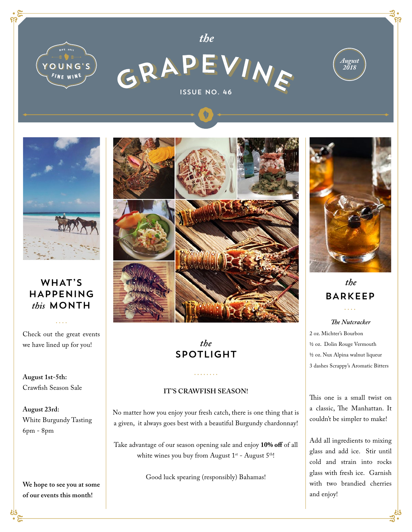



*the*





## WHAT'S HAPPENING *this* MONTH

Check out the great events we have lined up for you!

**August 1st-5th:**  Crawfish Season Sale

**August 23rd:**  White Burgundy Tasting 6pm - 8pm

**We hope to see you at some of our events this month!**



# *the* SPOTLIGHT

#### **IT'S CRAWFISH SEASON!**

No matter how you enjoy your fresh catch, there is one thing that is a given, it always goes best with a beautiful Burgundy chardonnay!

Take advantage of our season opening sale and enjoy **10% off** of all white wines you buy from August  $1^{st}$  - August  $5^{th}$ !

Good luck spearing (responsibly) Bahamas!



# *the* BARKEEP

*The Nutcracker* 2 oz. Michter's Bourbon ½ oz. Dolin Rouge Vermouth ½ oz. Nux Alpina walnut liqueur 3 dashes Scrappy's Aromatic Bitters

This one is a small twist on a classic, The Manhattan. It couldn't be simpler to make!

Add all ingredients to mixing glass and add ice. Stir until cold and strain into rocks glass with fresh ice. Garnish with two brandied cherries and enjoy!